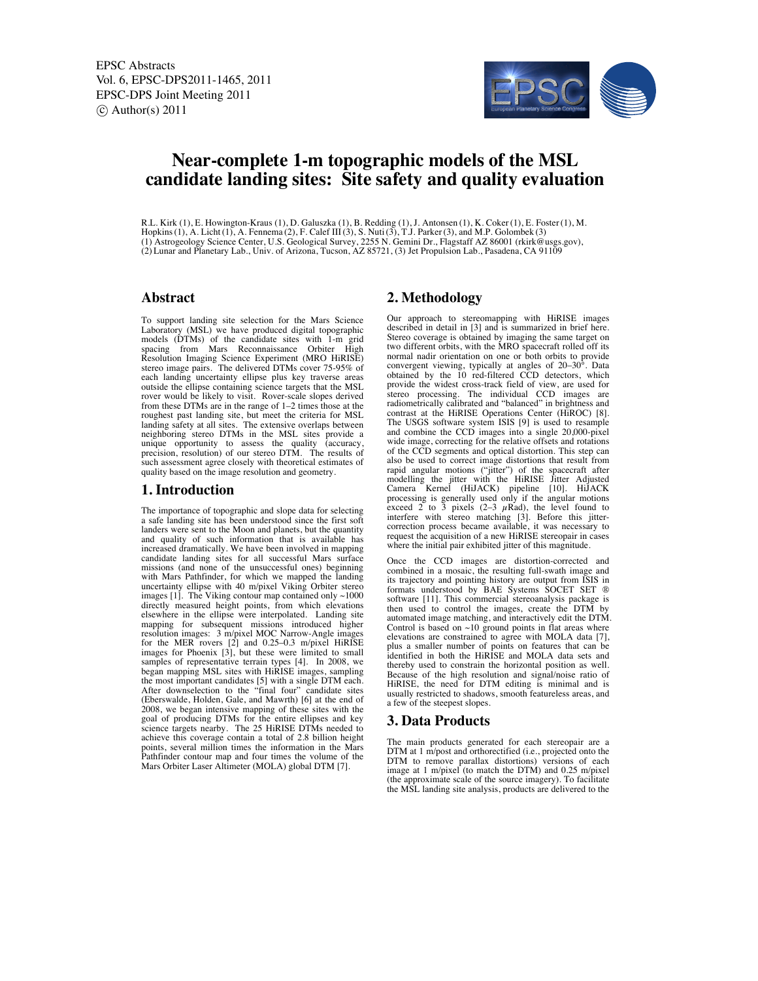

# **Near-complete 1-m topographic models of the MSL candidate landing sites: Site safety and quality evaluation**

R.L. Kirk (1), E. Howington-Kraus (1), D. Galuszka (1), B. Redding (1), J. Antonsen (1), K. Coker(1), E. Foster(1), M. Hopkins(1), A. Licht(1), A. Fennema (2), F. Calef III(3), S. Nuti(3), T.J. Parker(3), and M.P. Golombek (3) (1) Astrogeology Science Center, U.S. Geological Survey, 2255 N. Gemini Dr., Flagstaff AZ 86001 (rkirk@usgs.gov), (2) Lunar and Planetary Lab., Univ. of Arizona, Tucson, AZ 85721, (3) Jet Propulsion Lab., Pasadena, CA 91109

#### **Abstract**

To support landing site selection for the Mars Science Laboratory (MSL) we have produced digital topographic models (DTMs) of the candidate sites with 1-m grid<br>spacing from Mars Reconnaissance Orbiter High<br>Resolution Imaging Science Experiment (MRO HiRISE)<br>stereo image pairs. The delivered DTMs cover 75-95% of each landing uncertainty ellipse plus key traverse areas outside the ellipse containing science targets that the MSL rover would be likely to visit. Rover-scale slopes derived from these DTMs are in the range of  $1-2$  times those at the roughest past landing site, but meet the criteria for MSL landing safety at all sites. The extensive overlaps between neighboring stereo DTMs in the MSL sites provide a unique opportunity to assess the quality (accuracy, precision, resolution) of our stereo DTM. The results of such assessment agree closely with theoretical estimates of quality based on the image resolution and geometry.

#### **1. Introduction**

The importance of topographic and slope data for selecting a safe landing site has been understood since the first soft landers were sent to the Moon and planets, but the quantity and quality of such information that is available has increased dramatically. We have been involved in mapping candidate landing sites for all successful Mars surface missions (and none of the unsuccessful ones) beginning with Mars Pathfinder, for which we mapped the landing uncertainty ellipse with 40 m/pixel Viking Orbiter stereo images  $[1]$ . The Viking contour map contained only  $\sim$ 1000 directly measured height points, from which elevations elsewhere in the ellipse were interpolated. Landing site mapping for subsequent missions introduced higher resolution images: 3 m/pixel MOC Narrow-Angle images for the MER rovers [2] and 0.25–0.3 m/pixel HiRISE images for Phoenix [3], but these were limited to small samples of representative terrain types [4]. In 2008, we began mapping MSL sites with HiRISE images, sampling the most important candidates [5] with a single DTM each. After downselection to the "final four" candidate sites (Eberswalde, Holden, Gale, and Mawrth) [6] at the end of 2008, we began intensive mapping of these sites with the goal of producing DTMs for the entire ellipses and key science targets nearby. The 25 HiRISE DTMs needed to achieve this coverage contain a total of 2.8 billion height points, several million times the information in the Mars Pathfinder contour map and four times the volume of the Mars Orbiter Laser Altimeter (MOLA) global DTM [7].

## **2. Methodology**

Our approach to stereomapping with HiRISE images described in detail in [3] and is summarized in brief here. Stereo coverage is obtained by imaging the same target on two different orbits, with the MRO spacecraft rolled off its normal nadir orientation on one or both orbits to provide convergent viewing, typically at angles of 20–30°. Data obtained by the 10 red-filtered CCD detectors, which provide the widest cross-track field of view, are used for stereo processing. The individual CCD images are radiometrically calibrated and "balanced" in brightness and contrast at the HiRISE Operations Center (HiROC) [8]. The USGS software system ISIS [9] is used to resample and combine the CCD images into a single 20,000-pixel wide image, correcting for the relative offsets and rotations of the CCD segments and optical distortion. This step can also be used to correct image distortions that result from rapid angular motions ("jitter") of the spacecraft after modelling the jitter with the HiRISE Jitter Adjusted Camera Kernel (HiJACK) pipeline [10]. HiJACK processing is generally used only if the angular motions exceed 2 to 3 pixels  $(2-3 \mu \text{Rad})$ , the level found to interfere with stereo matching [3]. Before this jitter-correction process became available, it was necessary to request the acquisition of a new HiRISE stereopair in cases where the initial pair exhibited jitter of this magnitude.

Once the CCD images are distortion-corrected and combined in a mosaic, the resulting full-swath image and its trajectory and pointing history are output from ISIS in formats understood by BAE Systems SOCET SET ® software [11]. This commercial stereoanalysis package is then used to control the images, create the DTM by automated image matching, and interactively edit the DTM. Control is based on  $~10$  ground points in flat areas where elevations are constrained to agree with MOLA data [7], plus a smaller number of points on features that can be identified in both the HiRISE and MOLA data sets and thereby used to constrain the horizontal position as well. Because of the high resolution and signal/noise ratio of HiRISE, the need for DTM editing is minimal and is usually restricted to shadows, smooth featureless areas, and a few of the steepest slopes.

#### **3. Data Products**

The main products generated for each stereopair are a DTM at 1 m/post and orthorectified (i.e., projected onto the DTM to remove parallax distortions) versions of each image at 1 m/pixel (to match the DTM) and 0.25 m/pixel (the approximate scale of the source imagery). To facilitate the MSL landing site analysis, products are delivered to the